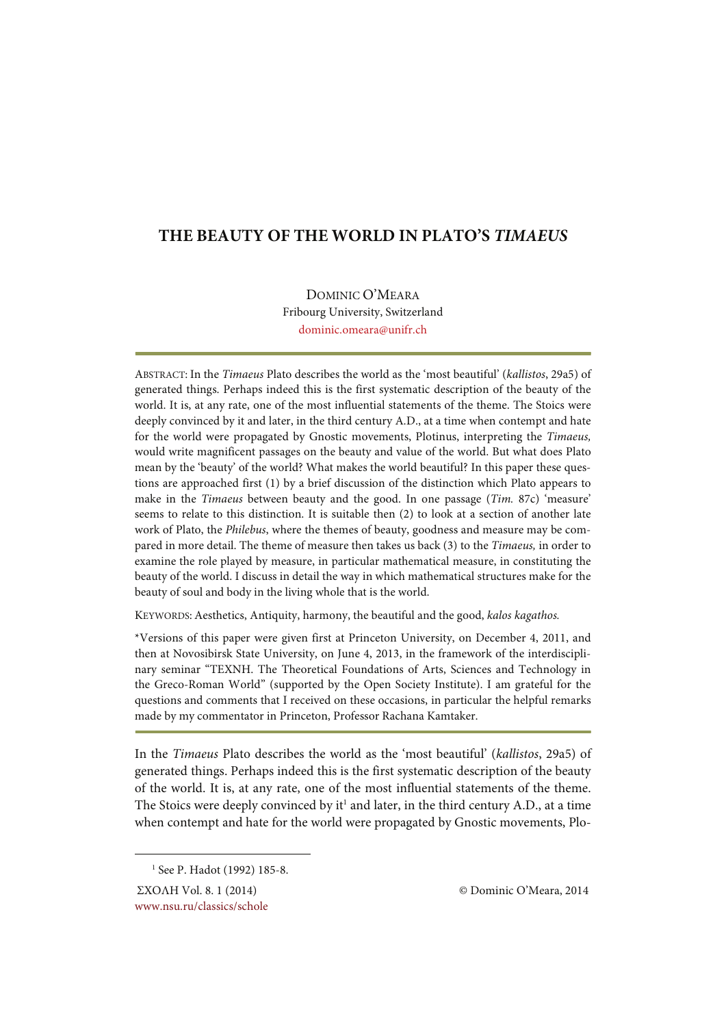# **THE BEAUTY OF THE WORLD IN PLATO'S TIMAEUS**

DOMINIC O'MEARA Fribourg University, Switzerland dominic.omeara@unifr.ch

ABSTRACT: In the Timaeus Plato describes the world as the 'most beautiful' (kallistos, 29a5) of generated things. Perhaps indeed this is the first systematic description of the beauty of the world. It is, at any rate, one of the most influential statements of the theme. The Stoics were deeply convinced by it and later, in the third century A.D., at a time when contempt and hate for the world were propagated by Gnostic movements, Plotinus, interpreting the Timaeus, would write magnificent passages on the beauty and value of the world. But what does Plato mean by the 'beauty' of the world? What makes the world beautiful? In this paper these questions are approached first (1) by a brief discussion of the distinction which Plato appears to make in the Timaeus between beauty and the good. In one passage (Tim. 87c) 'measure' seems to relate to this distinction. It is suitable then (2) to look at a section of another late work of Plato, the Philebus, where the themes of beauty, goodness and measure may be compared in more detail. The theme of measure then takes us back (3) to the Timaeus, in order to examine the role played by measure, in particular mathematical measure, in constituting the beauty of the world. I discuss in detail the way in which mathematical structures make for the beauty of soul and body in the living whole that is the world.

KEYWORDS: Aesthetics, Antiquity, harmony, the beautiful and the good, kalos kagathos.

\*Versions of this paper were given first at Princeton University, on December 4, 2011, and then at Novosibirsk State University, on June 4, 2013, in the framework of the interdisciplinary seminar "ΤΕΧΝΗ. The Theoretical Foundations of Arts, Sciences and Technology in the Greco-Roman World" (supported by the Open Society Institute). I am grateful for the questions and comments that I received on these occasions, in particular the helpful remarks made by my commentator in Princeton, Professor Rachana Kamtaker.

In the Timaeus Plato describes the world as the 'most beautiful' (kallistos, 29a5) of generated things. Perhaps indeed this is the first systematic description of the beauty of the world. It is, at any rate, one of the most influential statements of the theme. The Stoics were deeply convinced by it<sup>1</sup> and later, in the third century A.D., at a time when contempt and hate for the world were propagated by Gnostic movements, Plo-

l

ΣΧΟΛΗ Vol. 8. 1 (2014) © Dominic O'Meara, 2014 www.nsu.ru/classics/schole 1 See P. Hadot (1992) 185-8.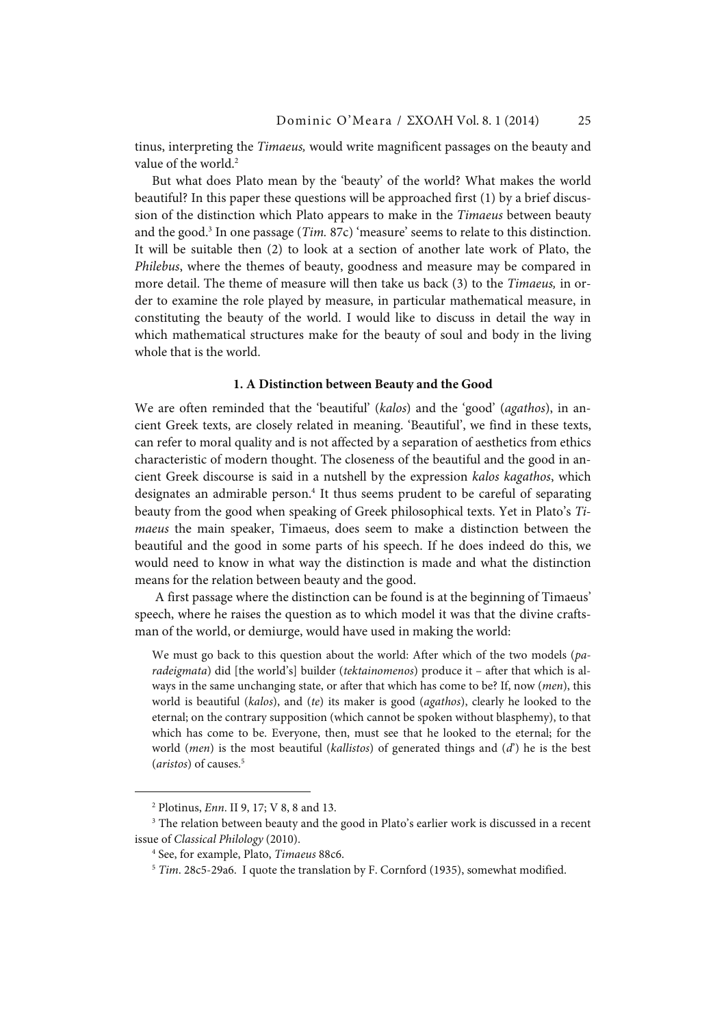tinus, interpreting the Timaeus, would write magnificent passages on the beauty and value of the world.<sup>2</sup>

But what does Plato mean by the 'beauty' of the world? What makes the world beautiful? In this paper these questions will be approached first (1) by a brief discussion of the distinction which Plato appears to make in the Timaeus between beauty and the good.<sup>3</sup> In one passage (*Tim.* 87c) 'measure' seems to relate to this distinction. It will be suitable then (2) to look at a section of another late work of Plato, the Philebus, where the themes of beauty, goodness and measure may be compared in more detail. The theme of measure will then take us back (3) to the Timaeus, in order to examine the role played by measure, in particular mathematical measure, in constituting the beauty of the world. I would like to discuss in detail the way in which mathematical structures make for the beauty of soul and body in the living whole that is the world.

## **1. A Distinction between Beauty and the Good**

We are often reminded that the 'beautiful' (kalos) and the 'good' (agathos), in ancient Greek texts, are closely related in meaning. 'Beautiful', we find in these texts, can refer to moral quality and is not affected by a separation of aesthetics from ethics characteristic of modern thought. The closeness of the beautiful and the good in ancient Greek discourse is said in a nutshell by the expression kalos kagathos, which designates an admirable person.<sup>4</sup> It thus seems prudent to be careful of separating beauty from the good when speaking of Greek philosophical texts. Yet in Plato's Timaeus the main speaker, Timaeus, does seem to make a distinction between the beautiful and the good in some parts of his speech. If he does indeed do this, we would need to know in what way the distinction is made and what the distinction means for the relation between beauty and the good.

 A first passage where the distinction can be found is at the beginning of Timaeus' speech, where he raises the question as to which model it was that the divine craftsman of the world, or demiurge, would have used in making the world:

We must go back to this question about the world: After which of the two models (paradeigmata) did [the world's] builder (tektainomenos) produce it – after that which is always in the same unchanging state, or after that which has come to be? If, now (men), this world is beautiful (kalos), and (te) its maker is good (agathos), clearly he looked to the eternal; on the contrary supposition (which cannot be spoken without blasphemy), to that which has come to be. Everyone, then, must see that he looked to the eternal; for the world (*men*) is the most beautiful (*kallistos*) of generated things and  $(d')$  he is the best (*aristos*) of causes.<sup>5</sup>

l

<sup>2</sup> Plotinus, Enn. II 9, 17; V 8, 8 and 13.

<sup>&</sup>lt;sup>3</sup> The relation between beauty and the good in Plato's earlier work is discussed in a recent issue of Classical Philology (2010).

<sup>4</sup> See, for example, Plato, Timaeus 88c6.

<sup>&</sup>lt;sup>5</sup> Tim. 28c5-29a6. I quote the translation by F. Cornford (1935), somewhat modified.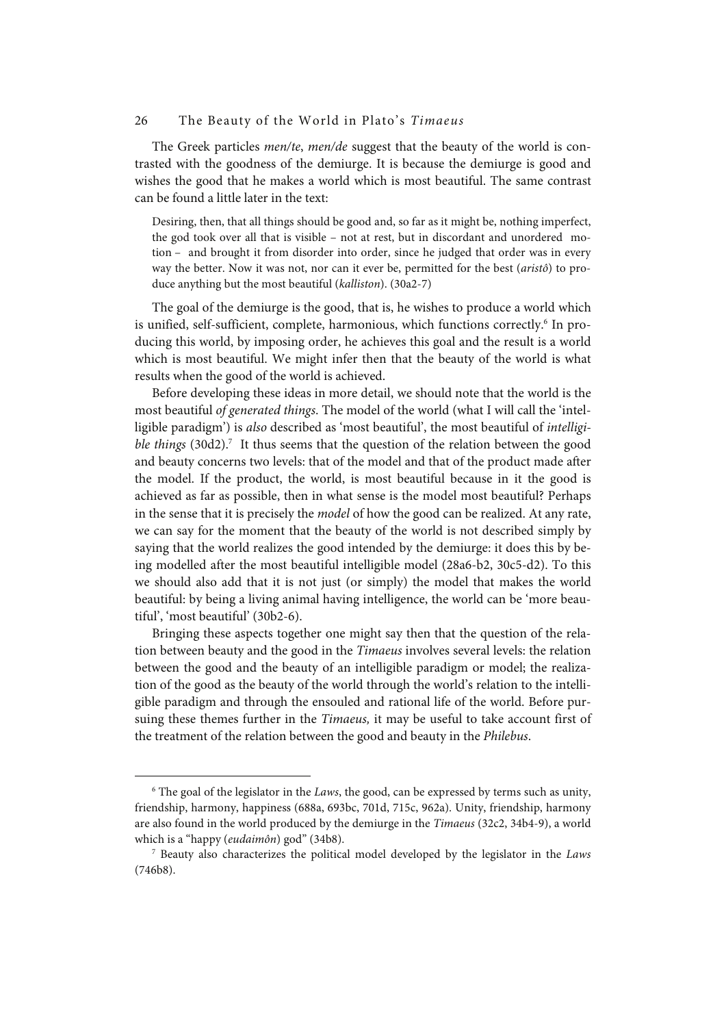The Greek particles *men/te*, *men/de* suggest that the beauty of the world is contrasted with the goodness of the demiurge. It is because the demiurge is good and wishes the good that he makes a world which is most beautiful. The same contrast can be found a little later in the text:

Desiring, then, that all things should be good and, so far as it might be, nothing imperfect, the god took over all that is visible – not at rest, but in discordant and unordered motion – and brought it from disorder into order, since he judged that order was in every way the better. Now it was not, nor can it ever be, permitted for the best (aristô) to produce anything but the most beautiful (kalliston). (30a2-7)

The goal of the demiurge is the good, that is, he wishes to produce a world which is unified, self-sufficient, complete, harmonious, which functions correctly.<sup>6</sup> In producing this world, by imposing order, he achieves this goal and the result is a world which is most beautiful. We might infer then that the beauty of the world is what results when the good of the world is achieved.

Before developing these ideas in more detail, we should note that the world is the most beautiful of generated things. The model of the world (what I will call the 'intelligible paradigm') is also described as 'most beautiful', the most beautiful of intelligible things (30d2).<sup>7</sup> It thus seems that the question of the relation between the good and beauty concerns two levels: that of the model and that of the product made after the model. If the product, the world, is most beautiful because in it the good is achieved as far as possible, then in what sense is the model most beautiful? Perhaps in the sense that it is precisely the model of how the good can be realized. At any rate, we can say for the moment that the beauty of the world is not described simply by saying that the world realizes the good intended by the demiurge: it does this by being modelled after the most beautiful intelligible model (28a6-b2, 30c5-d2). To this we should also add that it is not just (or simply) the model that makes the world beautiful: by being a living animal having intelligence, the world can be 'more beautiful', 'most beautiful' (30b2-6).

Bringing these aspects together one might say then that the question of the relation between beauty and the good in the Timaeus involves several levels: the relation between the good and the beauty of an intelligible paradigm or model; the realization of the good as the beauty of the world through the world's relation to the intelligible paradigm and through the ensouled and rational life of the world. Before pursuing these themes further in the Timaeus, it may be useful to take account first of the treatment of the relation between the good and beauty in the Philebus.

 $6$  The goal of the legislator in the Laws, the good, can be expressed by terms such as unity, friendship, harmony, happiness (688a, 693bc, 701d, 715c, 962a). Unity, friendship, harmony are also found in the world produced by the demiurge in the Timaeus (32c2, 34b4-9), a world which is a "happy (eudaimôn) god" (34b8).

 $7$  Beauty also characterizes the political model developed by the legislator in the Laws (746b8).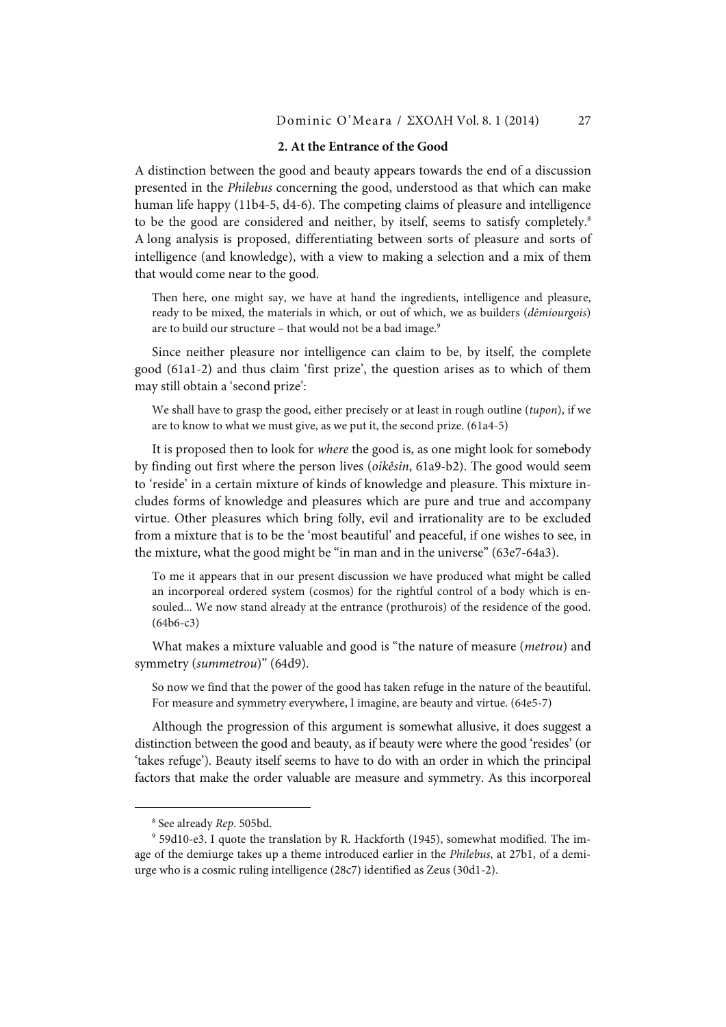# Dominic O'Meara / ΣΧΟΛΗ Vol. 8. 1 (2014) 27

#### **2. At the Entrance of the Good**

A distinction between the good and beauty appears towards the end of a discussion presented in the Philebus concerning the good, understood as that which can make human life happy (11b4-5, d4-6). The competing claims of pleasure and intelligence to be the good are considered and neither, by itself, seems to satisfy completely.<sup>8</sup> A long analysis is proposed, differentiating between sorts of pleasure and sorts of intelligence (and knowledge), with a view to making a selection and a mix of them that would come near to the good.

Then here, one might say, we have at hand the ingredients, intelligence and pleasure, ready to be mixed, the materials in which, or out of which, we as builders (dêmiourgois) are to build our structure - that would not be a bad image.<sup>9</sup>

Since neither pleasure nor intelligence can claim to be, by itself, the complete good (61a1-2) and thus claim 'first prize', the question arises as to which of them may still obtain a 'second prize':

We shall have to grasp the good, either precisely or at least in rough outline (tupon), if we are to know to what we must give, as we put it, the second prize. (61a4-5)

It is proposed then to look for where the good is, as one might look for somebody by finding out first where the person lives (oikêsin, 61a9-b2). The good would seem to 'reside' in a certain mixture of kinds of knowledge and pleasure. This mixture includes forms of knowledge and pleasures which are pure and true and accompany virtue. Other pleasures which bring folly, evil and irrationality are to be excluded from a mixture that is to be the 'most beautiful' and peaceful, if one wishes to see, in the mixture, what the good might be "in man and in the universe" (63e7-64a3).

To me it appears that in our present discussion we have produced what might be called an incorporeal ordered system (cosmos) for the rightful control of a body which is ensouled... We now stand already at the entrance (prothurois) of the residence of the good. (64b6-c3)

What makes a mixture valuable and good is "the nature of measure (metrou) and symmetry (summetrou)" (64d9).

So now we find that the power of the good has taken refuge in the nature of the beautiful. For measure and symmetry everywhere, I imagine, are beauty and virtue. (64e5-7)

Although the progression of this argument is somewhat allusive, it does suggest a distinction between the good and beauty, as if beauty were where the good 'resides' (or 'takes refuge'). Beauty itself seems to have to do with an order in which the principal factors that make the order valuable are measure and symmetry. As this incorporeal

<sup>&</sup>lt;sup>8</sup> See already Rep. 505bd.

<sup>9</sup> 59d10-e3. I quote the translation by R. Hackforth (1945), somewhat modified. The image of the demiurge takes up a theme introduced earlier in the Philebus, at 27b1, of a demiurge who is a cosmic ruling intelligence (28c7) identified as Zeus (30d1-2).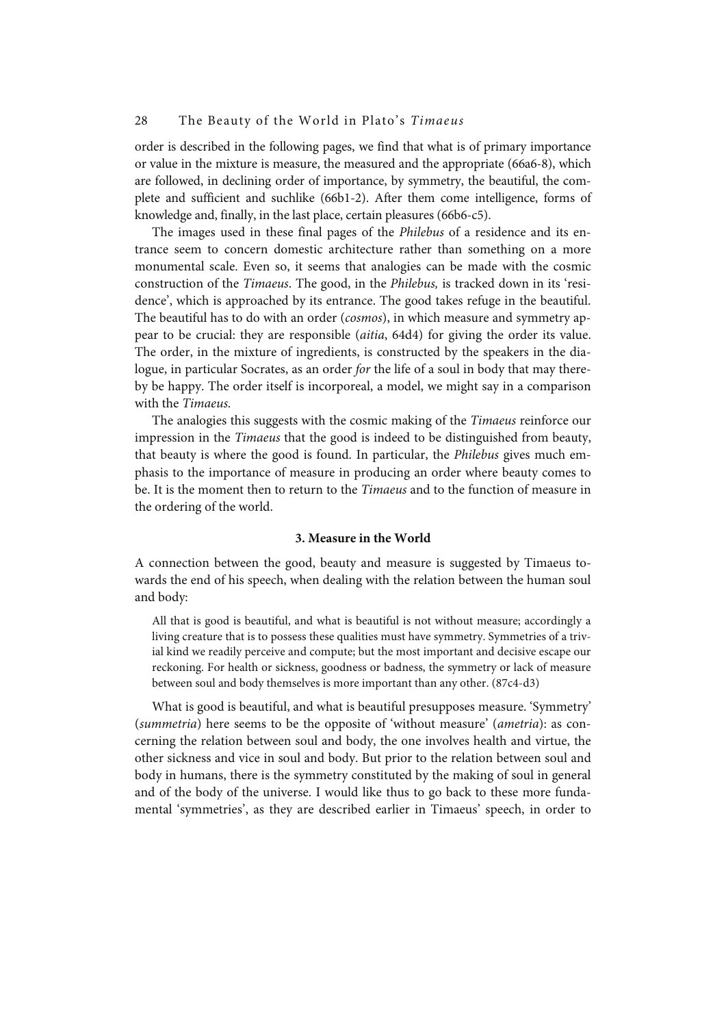order is described in the following pages, we find that what is of primary importance or value in the mixture is measure, the measured and the appropriate (66a6-8), which are followed, in declining order of importance, by symmetry, the beautiful, the complete and sufficient and suchlike (66b1-2). After them come intelligence, forms of knowledge and, finally, in the last place, certain pleasures (66b6-c5).

The images used in these final pages of the Philebus of a residence and its entrance seem to concern domestic architecture rather than something on a more monumental scale. Even so, it seems that analogies can be made with the cosmic construction of the Timaeus. The good, in the Philebus, is tracked down in its 'residence', which is approached by its entrance. The good takes refuge in the beautiful. The beautiful has to do with an order (cosmos), in which measure and symmetry appear to be crucial: they are responsible (aitia, 64d4) for giving the order its value. The order, in the mixture of ingredients, is constructed by the speakers in the dialogue, in particular Socrates, as an order for the life of a soul in body that may thereby be happy. The order itself is incorporeal, a model, we might say in a comparison with the Timaeus.

The analogies this suggests with the cosmic making of the Timaeus reinforce our impression in the Timaeus that the good is indeed to be distinguished from beauty, that beauty is where the good is found. In particular, the Philebus gives much emphasis to the importance of measure in producing an order where beauty comes to be. It is the moment then to return to the Timaeus and to the function of measure in the ordering of the world.

#### **3. Measure in the World**

A connection between the good, beauty and measure is suggested by Timaeus towards the end of his speech, when dealing with the relation between the human soul and body:

All that is good is beautiful, and what is beautiful is not without measure; accordingly a living creature that is to possess these qualities must have symmetry. Symmetries of a trivial kind we readily perceive and compute; but the most important and decisive escape our reckoning. For health or sickness, goodness or badness, the symmetry or lack of measure between soul and body themselves is more important than any other. (87c4-d3)

What is good is beautiful, and what is beautiful presupposes measure. 'Symmetry' (summetria) here seems to be the opposite of 'without measure' (ametria): as concerning the relation between soul and body, the one involves health and virtue, the other sickness and vice in soul and body. But prior to the relation between soul and body in humans, there is the symmetry constituted by the making of soul in general and of the body of the universe. I would like thus to go back to these more fundamental 'symmetries', as they are described earlier in Timaeus' speech, in order to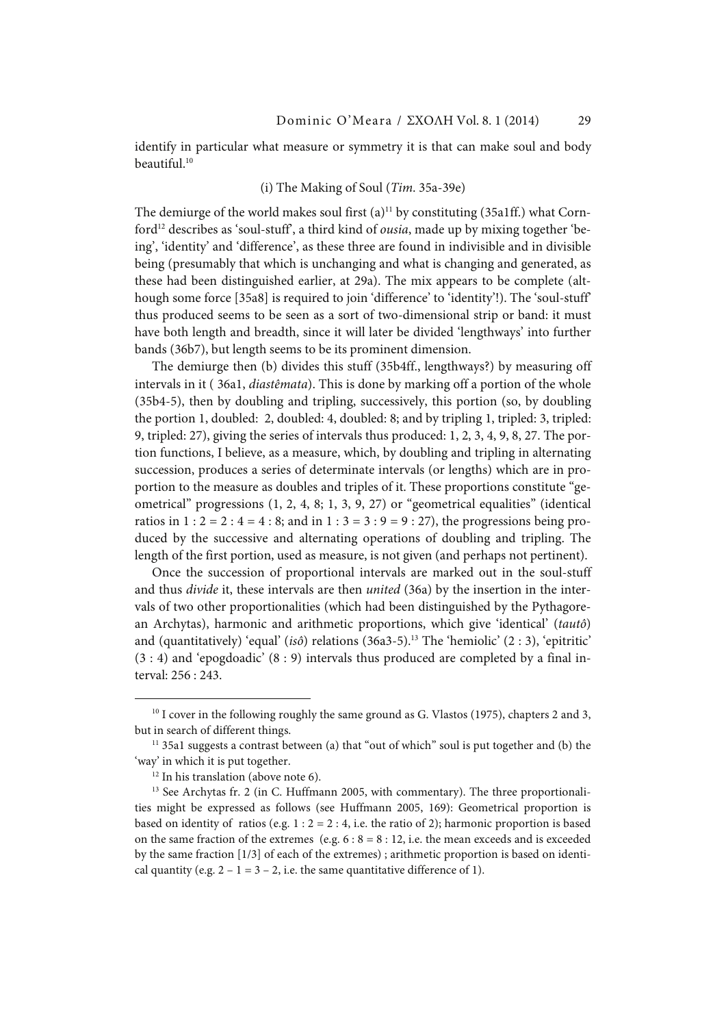identify in particular what measure or symmetry it is that can make soul and body beautiful.<sup>10</sup>

#### (i) The Making of Soul (Tim. 35a-39e)

The demiurge of the world makes soul first  $(a)^{11}$  by constituting (35a1ff.) what Cornford<sup>12</sup> describes as 'soul-stuff', a third kind of *ousia*, made up by mixing together 'being', 'identity' and 'difference', as these three are found in indivisible and in divisible being (presumably that which is unchanging and what is changing and generated, as these had been distinguished earlier, at 29a). The mix appears to be complete (although some force [35a8] is required to join 'difference' to 'identity'!). The 'soul-stuff' thus produced seems to be seen as a sort of two-dimensional strip or band: it must have both length and breadth, since it will later be divided 'lengthways' into further bands (36b7), but length seems to be its prominent dimension.

The demiurge then (b) divides this stuff (35b4ff., lengthways?) by measuring off intervals in it ( 36a1, diastêmata). This is done by marking off a portion of the whole (35b4-5), then by doubling and tripling, successively, this portion (so, by doubling the portion 1, doubled: 2, doubled: 4, doubled: 8; and by tripling 1, tripled: 3, tripled: 9, tripled: 27), giving the series of intervals thus produced: 1, 2, 3, 4, 9, 8, 27. The portion functions, I believe, as a measure, which, by doubling and tripling in alternating succession, produces a series of determinate intervals (or lengths) which are in proportion to the measure as doubles and triples of it. These proportions constitute "geometrical" progressions (1, 2, 4, 8; 1, 3, 9, 27) or "geometrical equalities" (identical ratios in  $1: 2 = 2: 4 = 4: 8$ ; and in  $1: 3 = 3: 9 = 9: 27$ , the progressions being produced by the successive and alternating operations of doubling and tripling. The length of the first portion, used as measure, is not given (and perhaps not pertinent).

Once the succession of proportional intervals are marked out in the soul-stuff and thus divide it, these intervals are then united (36a) by the insertion in the intervals of two other proportionalities (which had been distinguished by the Pythagorean Archytas), harmonic and arithmetic proportions, which give 'identical' (tautô) and (quantitatively) 'equal' (isô) relations (36a3-5).<sup>13</sup> The 'hemiolic' (2 : 3), 'epitritic' (3 : 4) and 'epogdoadic' (8 : 9) intervals thus produced are completed by a final interval: 256 : 243.

 $10$  I cover in the following roughly the same ground as G. Vlastos (1975), chapters 2 and 3, but in search of different things.

 $11$  35a1 suggests a contrast between (a) that "out of which" soul is put together and (b) the 'way' in which it is put together.

<sup>&</sup>lt;sup>12</sup> In his translation (above note 6).

<sup>&</sup>lt;sup>13</sup> See Archytas fr. 2 (in C. Huffmann 2005, with commentary). The three proportionalities might be expressed as follows (see Huffmann 2005, 169): Geometrical proportion is based on identity of ratios (e.g.  $1 : 2 = 2 : 4$ , i.e. the ratio of 2); harmonic proportion is based on the same fraction of the extremes (e.g.  $6: 8 = 8: 12$ , i.e. the mean exceeds and is exceeded by the same fraction [1/3] of each of the extremes) ; arithmetic proportion is based on identical quantity (e.g.  $2 - 1 = 3 - 2$ , i.e. the same quantitative difference of 1).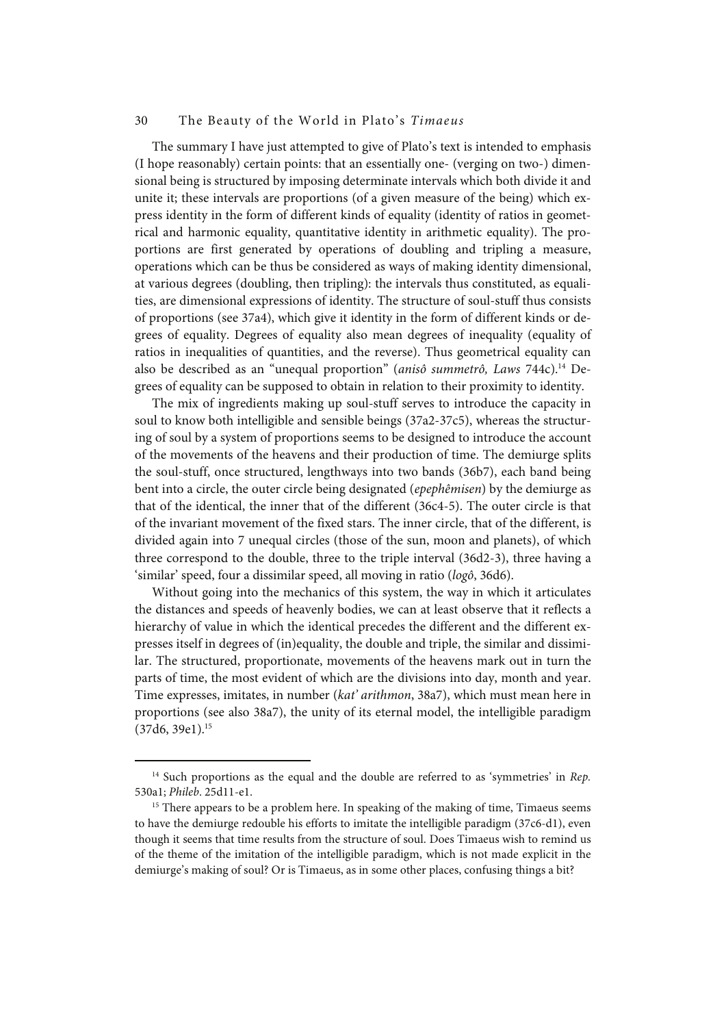The summary I have just attempted to give of Plato's text is intended to emphasis (I hope reasonably) certain points: that an essentially one- (verging on two-) dimensional being is structured by imposing determinate intervals which both divide it and unite it; these intervals are proportions (of a given measure of the being) which express identity in the form of different kinds of equality (identity of ratios in geometrical and harmonic equality, quantitative identity in arithmetic equality). The proportions are first generated by operations of doubling and tripling a measure, operations which can be thus be considered as ways of making identity dimensional, at various degrees (doubling, then tripling): the intervals thus constituted, as equalities, are dimensional expressions of identity. The structure of soul-stuff thus consists of proportions (see 37a4), which give it identity in the form of different kinds or degrees of equality. Degrees of equality also mean degrees of inequality (equality of ratios in inequalities of quantities, and the reverse). Thus geometrical equality can also be described as an "unequal proportion" (anisô summetrô, Laws 744c).<sup>14</sup> Degrees of equality can be supposed to obtain in relation to their proximity to identity.

The mix of ingredients making up soul-stuff serves to introduce the capacity in soul to know both intelligible and sensible beings (37a2-37c5), whereas the structuring of soul by a system of proportions seems to be designed to introduce the account of the movements of the heavens and their production of time. The demiurge splits the soul-stuff, once structured, lengthways into two bands (36b7), each band being bent into a circle, the outer circle being designated (epephêmisen) by the demiurge as that of the identical, the inner that of the different (36c4-5). The outer circle is that of the invariant movement of the fixed stars. The inner circle, that of the different, is divided again into 7 unequal circles (those of the sun, moon and planets), of which three correspond to the double, three to the triple interval (36d2-3), three having a 'similar' speed, four a dissimilar speed, all moving in ratio (logô, 36d6).

Without going into the mechanics of this system, the way in which it articulates the distances and speeds of heavenly bodies, we can at least observe that it reflects a hierarchy of value in which the identical precedes the different and the different expresses itself in degrees of (in)equality, the double and triple, the similar and dissimilar. The structured, proportionate, movements of the heavens mark out in turn the parts of time, the most evident of which are the divisions into day, month and year. Time expresses, imitates, in number (kat' arithmon, 38a7), which must mean here in proportions (see also 38a7), the unity of its eternal model, the intelligible paradigm  $(37d6, 39e1).$ <sup>15</sup>

 $14$  Such proportions as the equal and the double are referred to as 'symmetries' in Rep. 530a1; Phileb. 25d11-e1.

 $15$  There appears to be a problem here. In speaking of the making of time, Timaeus seems to have the demiurge redouble his efforts to imitate the intelligible paradigm (37c6-d1), even though it seems that time results from the structure of soul. Does Timaeus wish to remind us of the theme of the imitation of the intelligible paradigm, which is not made explicit in the demiurge's making of soul? Or is Timaeus, as in some other places, confusing things a bit?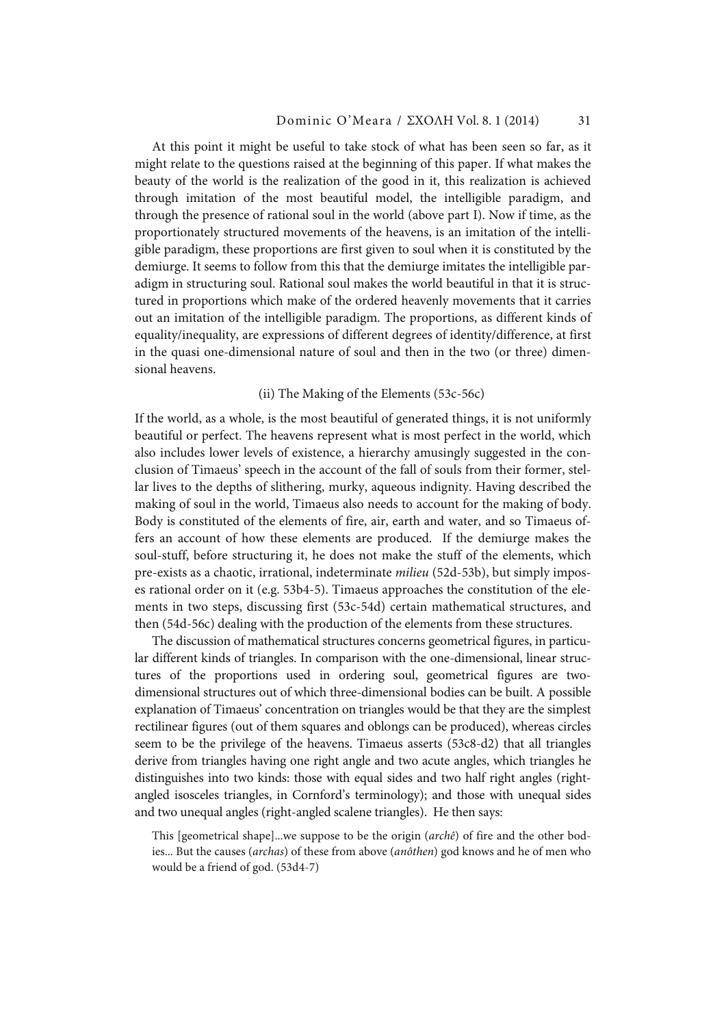At this point it might be useful to take stock of what has been seen so far, as it might relate to the questions raised at the beginning of this paper. If what makes the beauty of the world is the realization of the good in it, this realization is achieved through imitation of the most beautiful model, the intelligible paradigm, and through the presence of rational soul in the world (above part I). Now if time, as the proportionately structured movements of the heavens, is an imitation of the intelligible paradigm, these proportions are first given to soul when it is constituted by the demiurge. It seems to follow from this that the demiurge imitates the intelligible paradigm in structuring soul. Rational soul makes the world beautiful in that it is structured in proportions which make of the ordered heavenly movements that it carries out an imitation of the intelligible paradigm. The proportions, as different kinds of equality/inequality, are expressions of different degrees of identity/difference, at first in the quasi one-dimensional nature of soul and then in the two (or three) dimensional heavens.

# (ii) The Making of the Elements (53c-56c)

If the world, as a whole, is the most beautiful of generated things, it is not uniformly beautiful or perfect. The heavens represent what is most perfect in the world, which also includes lower levels of existence, a hierarchy amusingly suggested in the conclusion of Timaeus' speech in the account of the fall of souls from their former, stellar lives to the depths of slithering, murky, aqueous indignity. Having described the making of soul in the world, Timaeus also needs to account for the making of body. Body is constituted of the elements of fire, air, earth and water, and so Timaeus offers an account of how these elements are produced. If the demiurge makes the soul-stuff, before structuring it, he does not make the stuff of the elements, which pre-exists as a chaotic, irrational, indeterminate milieu (52d-53b), but simply imposes rational order on it (e.g. 53b4-5). Timaeus approaches the constitution of the elements in two steps, discussing first (53c-54d) certain mathematical structures, and then (54d-56c) dealing with the production of the elements from these structures.

The discussion of mathematical structures concerns geometrical figures, in particular different kinds of triangles. In comparison with the one-dimensional, linear structures of the proportions used in ordering soul, geometrical figures are twodimensional structures out of which three-dimensional bodies can be built. A possible explanation of Timaeus' concentration on triangles would be that they are the simplest rectilinear figures (out of them squares and oblongs can be produced), whereas circles seem to be the privilege of the heavens. Timaeus asserts (53c8-d2) that all triangles derive from triangles having one right angle and two acute angles, which triangles he distinguishes into two kinds: those with equal sides and two half right angles (rightangled isosceles triangles, in Cornford's terminology); and those with unequal sides and two unequal angles (right-angled scalene triangles). He then says:

This [geometrical shape]...we suppose to be the origin (archê) of fire and the other bodies... But the causes (archas) of these from above (anôthen) god knows and he of men who would be a friend of god. (53d4-7)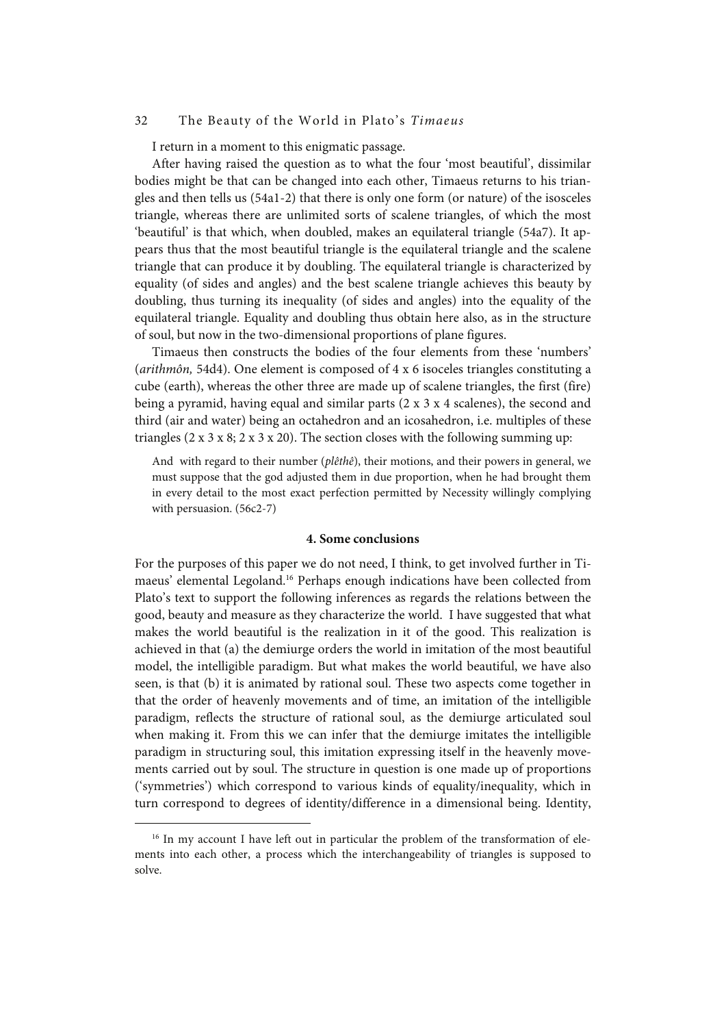I return in a moment to this enigmatic passage.

After having raised the question as to what the four 'most beautiful', dissimilar bodies might be that can be changed into each other, Timaeus returns to his triangles and then tells us (54a1-2) that there is only one form (or nature) of the isosceles triangle, whereas there are unlimited sorts of scalene triangles, of which the most 'beautiful' is that which, when doubled, makes an equilateral triangle (54a7). It appears thus that the most beautiful triangle is the equilateral triangle and the scalene triangle that can produce it by doubling. The equilateral triangle is characterized by equality (of sides and angles) and the best scalene triangle achieves this beauty by doubling, thus turning its inequality (of sides and angles) into the equality of the equilateral triangle. Equality and doubling thus obtain here also, as in the structure of soul, but now in the two-dimensional proportions of plane figures.

Timaeus then constructs the bodies of the four elements from these 'numbers'  $(arithm\hat{o}n, 54d4)$ . One element is composed of  $4 \times 6$  isoceles triangles constituting a cube (earth), whereas the other three are made up of scalene triangles, the first (fire) being a pyramid, having equal and similar parts (2 x 3 x 4 scalenes), the second and third (air and water) being an octahedron and an icosahedron, i.e. multiples of these triangles  $(2 \times 3 \times 8; 2 \times 3 \times 20)$ . The section closes with the following summing up:

And with regard to their number ( $pl\hat{e}th\hat{e}$ ), their motions, and their powers in general, we must suppose that the god adjusted them in due proportion, when he had brought them in every detail to the most exact perfection permitted by Necessity willingly complying with persuasion. (56c2-7)

#### **4. Some conclusions**

For the purposes of this paper we do not need, I think, to get involved further in Timaeus' elemental Legoland.<sup>16</sup> Perhaps enough indications have been collected from Plato's text to support the following inferences as regards the relations between the good, beauty and measure as they characterize the world. I have suggested that what makes the world beautiful is the realization in it of the good. This realization is achieved in that (a) the demiurge orders the world in imitation of the most beautiful model, the intelligible paradigm. But what makes the world beautiful, we have also seen, is that (b) it is animated by rational soul. These two aspects come together in that the order of heavenly movements and of time, an imitation of the intelligible paradigm, reflects the structure of rational soul, as the demiurge articulated soul when making it. From this we can infer that the demiurge imitates the intelligible paradigm in structuring soul, this imitation expressing itself in the heavenly movements carried out by soul. The structure in question is one made up of proportions ('symmetries') which correspond to various kinds of equality/inequality, which in turn correspond to degrees of identity/difference in a dimensional being. Identity,

l

<sup>&</sup>lt;sup>16</sup> In my account I have left out in particular the problem of the transformation of elements into each other, a process which the interchangeability of triangles is supposed to solve.